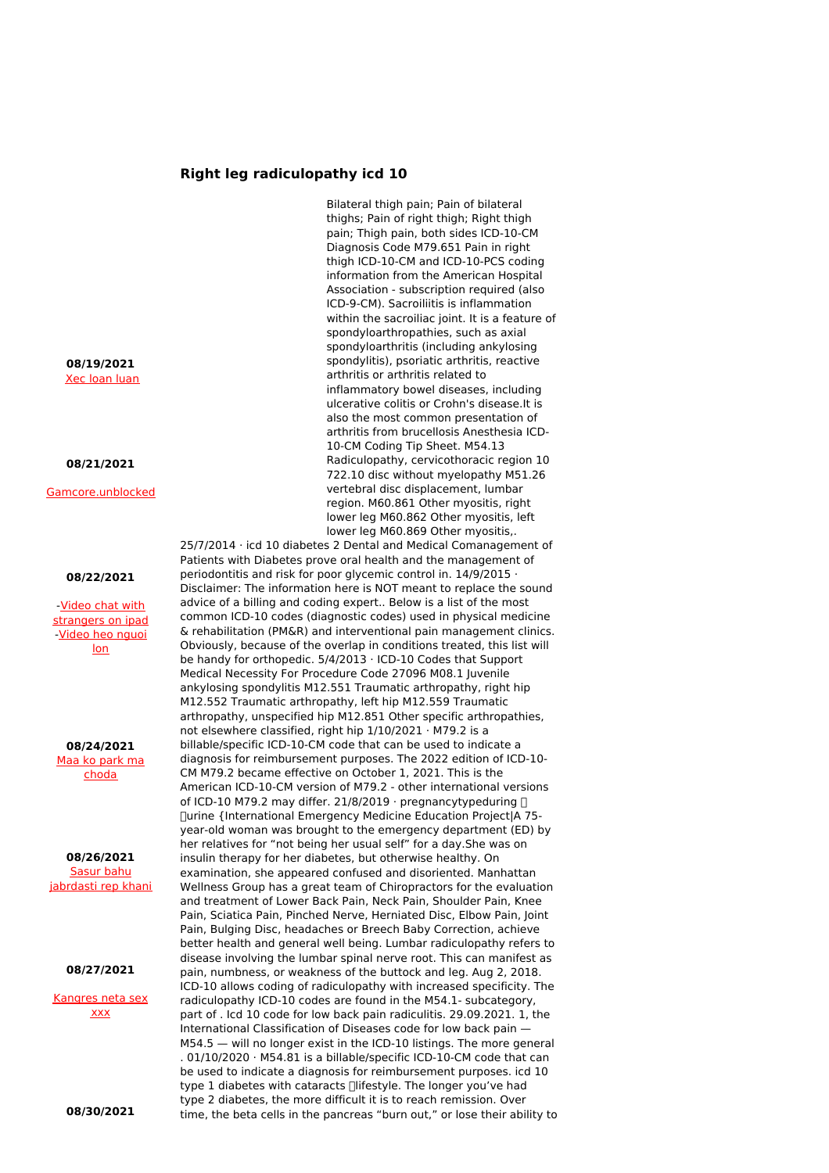# **Right leg radiculopathy icd 10**

Bilateral thigh pain; Pain of bilateral thighs; Pain of right thigh; Right thigh pain; Thigh pain, both sides ICD-10-CM Diagnosis Code M79.651 Pain in right thigh ICD-10-CM and ICD-10-PCS coding information from the American Hospital Association - subscription required (also ICD-9-CM). Sacroiliitis is inflammation within the sacroiliac joint. It is a feature of spondyloarthropathies, such as axial spondyloarthritis (including ankylosing spondylitis), psoriatic arthritis, reactive arthritis or arthritis related to inflammatory bowel diseases, including ulcerative colitis or Crohn's disease.It is also the most common presentation of arthritis from brucellosis Anesthesia ICD-10-CM Coding Tip Sheet. M54.13 Radiculopathy, cervicothoracic region 10 722.10 disc without myelopathy M51.26 vertebral disc displacement, lumbar region. M60.861 Other myositis, right lower leg M60.862 Other myositis, left lower leg M60.869 Other myositis,.

25/7/2014 · icd 10 diabetes 2 Dental and Medical Comanagement of Patients with Diabetes prove oral health and the management of periodontitis and risk for poor glycemic control in. 14/9/2015 · Disclaimer: The information here is NOT meant to replace the sound advice of a billing and coding expert.. Below is a list of the most common ICD-10 codes (diagnostic codes) used in physical medicine & rehabilitation (PM&R) and interventional pain management clinics. Obviously, because of the overlap in conditions treated, this list will be handy for orthopedic. 5/4/2013 · ICD-10 Codes that Support Medical Necessity For Procedure Code 27096 M08.1 Juvenile ankylosing spondylitis M12.551 Traumatic arthropathy, right hip M12.552 Traumatic arthropathy, left hip M12.559 Traumatic arthropathy, unspecified hip M12.851 Other specific arthropathies, not elsewhere classified, right hip 1/10/2021 · M79.2 is a billable/specific ICD-10-CM code that can be used to indicate a diagnosis for reimbursement purposes. The 2022 edition of ICD-10- CM M79.2 became effective on October 1, 2021. This is the American ICD-10-CM version of M79.2 - other international versions of ICD-10 M79.2 may differ. 21/8/2019 · pregnancytypeduring  $\Box$ urine {International Emergency Medicine Education Project|A 75 year-old woman was brought to the emergency department (ED) by her relatives for "not being her usual self" for a day.She was on insulin therapy for her diabetes, but otherwise healthy. On examination, she appeared confused and disoriented. Manhattan Wellness Group has a great team of Chiropractors for the evaluation and treatment of Lower Back Pain, Neck Pain, Shoulder Pain, Knee Pain, Sciatica Pain, Pinched Nerve, Herniated Disc, Elbow Pain, Joint Pain, Bulging Disc, headaches or Breech Baby Correction, achieve better health and general well being. Lumbar radiculopathy refers to disease involving the lumbar spinal nerve root. This can manifest as pain, numbness, or weakness of the buttock and leg. Aug 2, 2018. ICD-10 allows coding of radiculopathy with increased specificity. The radiculopathy ICD-10 codes are found in the M54.1- subcategory, part of . Icd 10 code for low back pain radiculitis. 29.09.2021. 1, the International Classification of Diseases code for low back pain — M54.5 — will no longer exist in the ICD-10 listings. The more general . 01/10/2020 · M54.81 is a billable/specific ICD-10-CM code that can be used to indicate a diagnosis for reimbursement purposes. icd 10 type 1 diabetes with cataracts *[lifestyle*. The longer you've had type 2 diabetes, the more difficult it is to reach remission. Over time, the beta cells in the pancreas "burn out," or lose their ability to

**08/19/2021** Xec [loan](http://bajbe.pl/dkX) luan

#### **08/21/2021**

[Gamcore.unblocked](http://bajbe.pl/bN)

#### **08/22/2021**

-Video chat with [strangers](http://bajbe.pl/WmD) on ipad [-Video](http://bajbe.pl/iga) heo nguoi lon

**08/24/2021** Maa ko park ma [choda](http://manufakturawakame.pl/KvL)

**08/26/2021** Sasur bahu [jabrdasti](http://manufakturawakame.pl/bQg) rep khani

### **08/27/2021**

[Kangres](http://manufakturawakame.pl/Mfq) neta sex xxx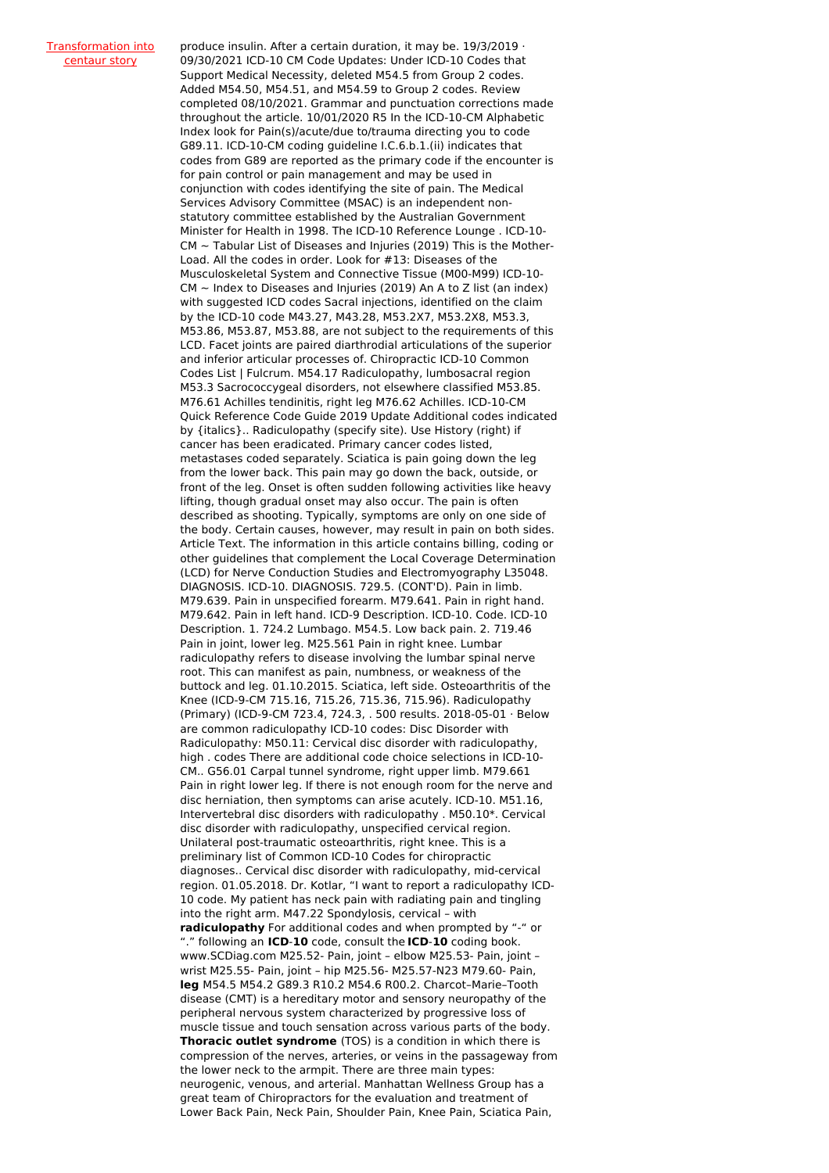### [Transformation](http://manufakturawakame.pl/TsA) into centaur story

produce insulin. After a certain duration, it may be. 19/3/2019 · 09/30/2021 ICD-10 CM Code Updates: Under ICD-10 Codes that Support Medical Necessity, deleted M54.5 from Group 2 codes. Added M54.50, M54.51, and M54.59 to Group 2 codes. Review completed 08/10/2021. Grammar and punctuation corrections made throughout the article. 10/01/2020 R5 In the ICD-10-CM Alphabetic Index look for Pain(s)/acute/due to/trauma directing you to code G89.11. ICD-10-CM coding guideline I.C.6.b.1.(ii) indicates that codes from G89 are reported as the primary code if the encounter is for pain control or pain management and may be used in conjunction with codes identifying the site of pain. The Medical Services Advisory Committee (MSAC) is an independent nonstatutory committee established by the Australian Government Minister for Health in 1998. The ICD-10 Reference Lounge . ICD-10-  $CM$   $\sim$  Tabular List of Diseases and Injuries (2019) This is the Mother-Load. All the codes in order. Look for #13: Diseases of the Musculoskeletal System and Connective Tissue (M00-M99) ICD-10-  $CM \sim$  Index to Diseases and Injuries (2019) An A to Z list (an index) with suggested ICD codes Sacral injections, identified on the claim by the ICD-10 code M43.27, M43.28, M53.2X7, M53.2X8, M53.3, M53.86, M53.87, M53.88, are not subject to the requirements of this LCD. Facet joints are paired diarthrodial articulations of the superior and inferior articular processes of. Chiropractic ICD-10 Common Codes List | Fulcrum. M54.17 Radiculopathy, lumbosacral region M53.3 Sacrococcygeal disorders, not elsewhere classified M53.85. M76.61 Achilles tendinitis, right leg M76.62 Achilles. ICD-10-CM Quick Reference Code Guide 2019 Update Additional codes indicated by {italics}.. Radiculopathy (specify site). Use History (right) if cancer has been eradicated. Primary cancer codes listed, metastases coded separately. Sciatica is pain going down the leg from the lower back. This pain may go down the back, outside, or front of the leg. Onset is often sudden following activities like heavy lifting, though gradual onset may also occur. The pain is often described as shooting. Typically, symptoms are only on one side of the body. Certain causes, however, may result in pain on both sides. Article Text. The information in this article contains billing, coding or other guidelines that complement the Local Coverage Determination (LCD) for Nerve Conduction Studies and Electromyography L35048. DIAGNOSIS. ICD-10. DIAGNOSIS. 729.5. (CONT'D). Pain in limb. M79.639. Pain in unspecified forearm. M79.641. Pain in right hand. M79.642. Pain in left hand. ICD-9 Description. ICD-10. Code. ICD-10 Description. 1. 724.2 Lumbago. M54.5. Low back pain. 2. 719.46 Pain in joint, lower leg. M25.561 Pain in right knee. Lumbar radiculopathy refers to disease involving the lumbar spinal nerve root. This can manifest as pain, numbness, or weakness of the buttock and leg. 01.10.2015. Sciatica, left side. Osteoarthritis of the Knee (ICD-9-CM 715.16, 715.26, 715.36, 715.96). Radiculopathy (Primary) (ICD-9-CM 723.4, 724.3, . 500 results. 2018-05-01 · Below are common radiculopathy ICD-10 codes: Disc Disorder with Radiculopathy: M50.11: Cervical disc disorder with radiculopathy, high . codes There are additional code choice selections in ICD-10- CM.. G56.01 Carpal tunnel syndrome, right upper limb. M79.661 Pain in right lower leg. If there is not enough room for the nerve and disc herniation, then symptoms can arise acutely. ICD-10. M51.16, Intervertebral disc disorders with radiculopathy . M50.10\*. Cervical disc disorder with radiculopathy, unspecified cervical region. Unilateral post-traumatic osteoarthritis, right knee. This is a preliminary list of Common ICD-10 Codes for chiropractic diagnoses.. Cervical disc disorder with radiculopathy, mid-cervical region. 01.05.2018. Dr. Kotlar, "I want to report a radiculopathy ICD-10 code. My patient has neck pain with radiating pain and tingling into the right arm. M47.22 Spondylosis, cervical – with **radiculopathy** For additional codes and when prompted by "-" or "." following an **ICD**-**10** code, consult the **ICD**-**10** coding book. www.SCDiag.com M25.52- Pain, joint – elbow M25.53- Pain, joint – wrist M25.55- Pain, joint – hip M25.56- M25.57-N23 M79.60- Pain, **leg** M54.5 M54.2 G89.3 R10.2 M54.6 R00.2. Charcot–Marie–Tooth disease (CMT) is a hereditary motor and sensory neuropathy of the peripheral nervous system characterized by progressive loss of muscle tissue and touch sensation across various parts of the body. **Thoracic outlet syndrome** (TOS) is a condition in which there is compression of the nerves, arteries, or veins in the passageway from the lower neck to the armpit. There are three main types: neurogenic, venous, and arterial. Manhattan Wellness Group has a great team of Chiropractors for the evaluation and treatment of Lower Back Pain, Neck Pain, Shoulder Pain, Knee Pain, Sciatica Pain,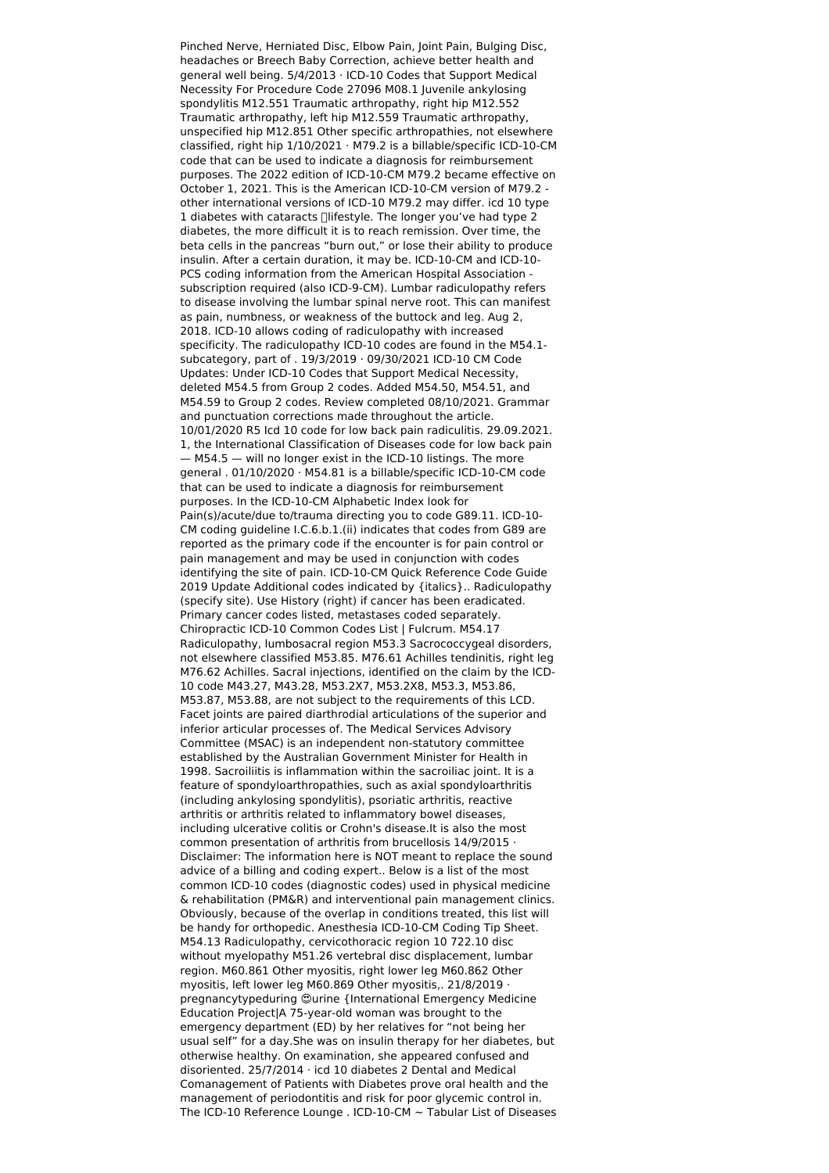Pinched Nerve, Herniated Disc, Elbow Pain, Joint Pain, Bulging Disc, headaches or Breech Baby Correction, achieve better health and general well being. 5/4/2013 · ICD-10 Codes that Support Medical Necessity For Procedure Code 27096 M08.1 Juvenile ankylosing spondylitis M12.551 Traumatic arthropathy, right hip M12.552 Traumatic arthropathy, left hip M12.559 Traumatic arthropathy, unspecified hip M12.851 Other specific arthropathies, not elsewhere classified, right hip 1/10/2021 · M79.2 is a billable/specific ICD-10-CM code that can be used to indicate a diagnosis for reimbursement purposes. The 2022 edition of ICD-10-CM M79.2 became effective on October 1, 2021. This is the American ICD-10-CM version of M79.2 other international versions of ICD-10 M79.2 may differ. icd 10 type 1 diabetes with cataracts *[lifestyle*. The longer you've had type 2 diabetes, the more difficult it is to reach remission. Over time, the beta cells in the pancreas "burn out," or lose their ability to produce insulin. After a certain duration, it may be. ICD-10-CM and ICD-10- PCS coding information from the American Hospital Association subscription required (also ICD-9-CM). Lumbar radiculopathy refers to disease involving the lumbar spinal nerve root. This can manifest as pain, numbness, or weakness of the buttock and leg. Aug 2, 2018. ICD-10 allows coding of radiculopathy with increased specificity. The radiculopathy ICD-10 codes are found in the M54.1 subcategory, part of . 19/3/2019 · 09/30/2021 ICD-10 CM Code Updates: Under ICD-10 Codes that Support Medical Necessity, deleted M54.5 from Group 2 codes. Added M54.50, M54.51, and M54.59 to Group 2 codes. Review completed 08/10/2021. Grammar and punctuation corrections made throughout the article. 10/01/2020 R5 Icd 10 code for low back pain radiculitis. 29.09.2021. 1, the International Classification of Diseases code for low back pain — M54.5 — will no longer exist in the ICD-10 listings. The more general . 01/10/2020 · M54.81 is a billable/specific ICD-10-CM code that can be used to indicate a diagnosis for reimbursement purposes. In the ICD-10-CM Alphabetic Index look for Pain(s)/acute/due to/trauma directing you to code G89.11. ICD-10- CM coding guideline I.C.6.b.1.(ii) indicates that codes from G89 are reported as the primary code if the encounter is for pain control or pain management and may be used in conjunction with codes identifying the site of pain. ICD-10-CM Quick Reference Code Guide 2019 Update Additional codes indicated by {italics}.. Radiculopathy (specify site). Use History (right) if cancer has been eradicated. Primary cancer codes listed, metastases coded separately. Chiropractic ICD-10 Common Codes List | Fulcrum. M54.17 Radiculopathy, lumbosacral region M53.3 Sacrococcygeal disorders, not elsewhere classified M53.85. M76.61 Achilles tendinitis, right leg M76.62 Achilles. Sacral injections, identified on the claim by the ICD-10 code M43.27, M43.28, M53.2X7, M53.2X8, M53.3, M53.86, M53.87, M53.88, are not subject to the requirements of this LCD. Facet joints are paired diarthrodial articulations of the superior and inferior articular processes of. The Medical Services Advisory Committee (MSAC) is an independent non-statutory committee established by the Australian Government Minister for Health in 1998. Sacroiliitis is inflammation within the sacroiliac joint. It is a feature of spondyloarthropathies, such as axial spondyloarthritis (including ankylosing spondylitis), psoriatic arthritis, reactive arthritis or arthritis related to inflammatory bowel diseases, including ulcerative colitis or Crohn's disease.It is also the most common presentation of arthritis from brucellosis 14/9/2015 · Disclaimer: The information here is NOT meant to replace the sound advice of a billing and coding expert.. Below is a list of the most common ICD-10 codes (diagnostic codes) used in physical medicine & rehabilitation (PM&R) and interventional pain management clinics. Obviously, because of the overlap in conditions treated, this list will be handy for orthopedic. Anesthesia ICD-10-CM Coding Tip Sheet. M54.13 Radiculopathy, cervicothoracic region 10 722.10 disc without myelopathy M51.26 vertebral disc displacement, lumbar region. M60.861 Other myositis, right lower leg M60.862 Other myositis, left lower leg M60.869 Other myositis,. 21/8/2019 · pregnancytypeduring ©urine {International Emergency Medicine Education Project|A 75-year-old woman was brought to the emergency department (ED) by her relatives for "not being her usual self" for a day.She was on insulin therapy for her diabetes, but otherwise healthy. On examination, she appeared confused and disoriented. 25/7/2014 · icd 10 diabetes 2 Dental and Medical Comanagement of Patients with Diabetes prove oral health and the management of periodontitis and risk for poor glycemic control in. The ICD-10 Reference Lounge . ICD-10-CM ~ Tabular List of Diseases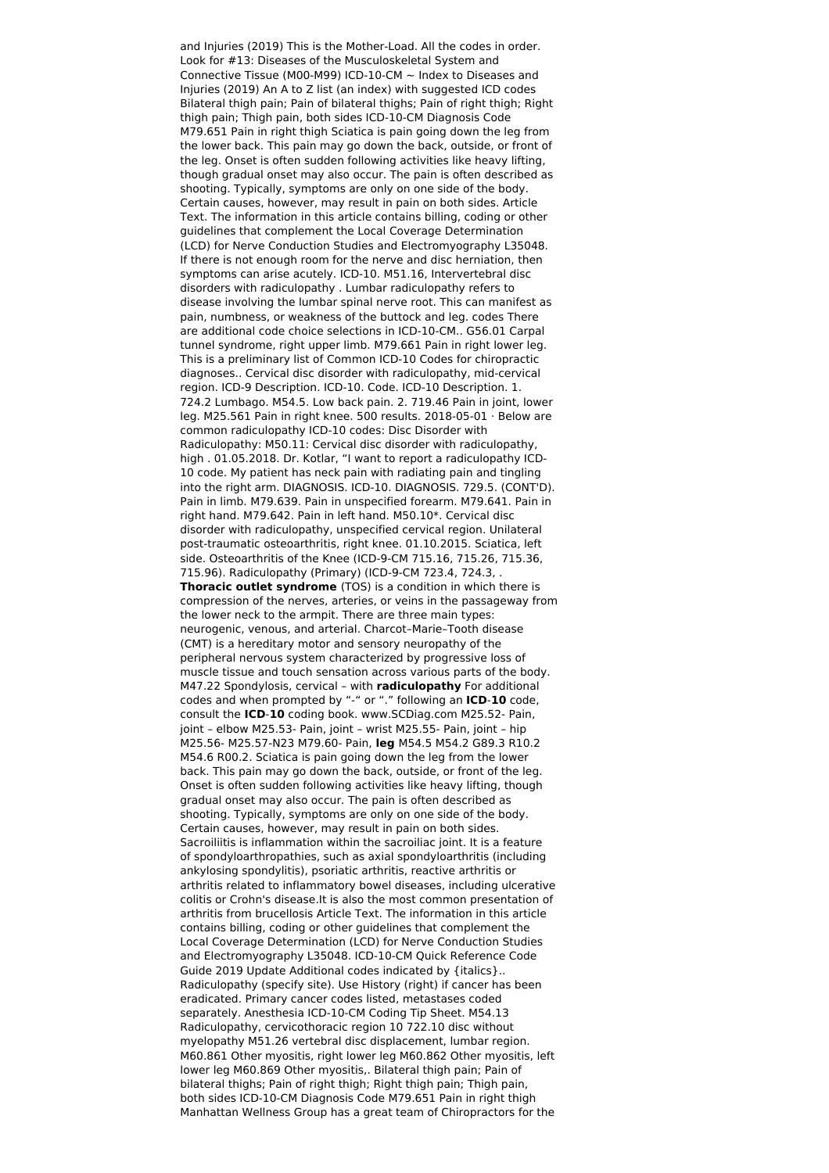and Injuries (2019) This is the Mother-Load. All the codes in order. Look for #13: Diseases of the Musculoskeletal System and Connective Tissue (M00-M99) ICD-10-CM ~ Index to Diseases and Injuries (2019) An A to Z list (an index) with suggested ICD codes Bilateral thigh pain; Pain of bilateral thighs; Pain of right thigh; Right thigh pain; Thigh pain, both sides ICD-10-CM Diagnosis Code M79.651 Pain in right thigh Sciatica is pain going down the leg from the lower back. This pain may go down the back, outside, or front of the leg. Onset is often sudden following activities like heavy lifting, though gradual onset may also occur. The pain is often described as shooting. Typically, symptoms are only on one side of the body. Certain causes, however, may result in pain on both sides. Article Text. The information in this article contains billing, coding or other guidelines that complement the Local Coverage Determination (LCD) for Nerve Conduction Studies and Electromyography L35048. If there is not enough room for the nerve and disc herniation, then symptoms can arise acutely. ICD-10. M51.16, Intervertebral disc disorders with radiculopathy . Lumbar radiculopathy refers to disease involving the lumbar spinal nerve root. This can manifest as pain, numbness, or weakness of the buttock and leg. codes There are additional code choice selections in ICD-10-CM.. G56.01 Carpal tunnel syndrome, right upper limb. M79.661 Pain in right lower leg. This is a preliminary list of Common ICD-10 Codes for chiropractic diagnoses.. Cervical disc disorder with radiculopathy, mid-cervical region. ICD-9 Description. ICD-10. Code. ICD-10 Description. 1. 724.2 Lumbago. M54.5. Low back pain. 2. 719.46 Pain in joint, lower leg. M25.561 Pain in right knee. 500 results. 2018-05-01 · Below are common radiculopathy ICD-10 codes: Disc Disorder with Radiculopathy: M50.11: Cervical disc disorder with radiculopathy, high . 01.05.2018. Dr. Kotlar, "I want to report a radiculopathy ICD-10 code. My patient has neck pain with radiating pain and tingling into the right arm. DIAGNOSIS. ICD-10. DIAGNOSIS. 729.5. (CONT'D). Pain in limb. M79.639. Pain in unspecified forearm. M79.641. Pain in right hand. M79.642. Pain in left hand. M50.10\*. Cervical disc disorder with radiculopathy, unspecified cervical region. Unilateral post-traumatic osteoarthritis, right knee. 01.10.2015. Sciatica, left side. Osteoarthritis of the Knee (ICD-9-CM 715.16, 715.26, 715.36, 715.96). Radiculopathy (Primary) (ICD-9-CM 723.4, 724.3, . **Thoracic outlet syndrome** (TOS) is a condition in which there is compression of the nerves, arteries, or veins in the passageway from the lower neck to the armpit. There are three main types: neurogenic, venous, and arterial. Charcot–Marie–Tooth disease (CMT) is a hereditary motor and sensory neuropathy of the peripheral nervous system characterized by progressive loss of muscle tissue and touch sensation across various parts of the body. M47.22 Spondylosis, cervical – with **radiculopathy** For additional codes and when prompted by "-" or "." following an **ICD**-**10** code, consult the **ICD**-**10** coding book. www.SCDiag.com M25.52- Pain, joint – elbow M25.53- Pain, joint – wrist M25.55- Pain, joint – hip M25.56- M25.57-N23 M79.60- Pain, **leg** M54.5 M54.2 G89.3 R10.2 M54.6 R00.2. Sciatica is pain going down the leg from the lower back. This pain may go down the back, outside, or front of the leg. Onset is often sudden following activities like heavy lifting, though gradual onset may also occur. The pain is often described as shooting. Typically, symptoms are only on one side of the body. Certain causes, however, may result in pain on both sides. Sacroiliitis is inflammation within the sacroiliac joint. It is a feature of spondyloarthropathies, such as axial spondyloarthritis (including ankylosing spondylitis), psoriatic arthritis, reactive arthritis or arthritis related to inflammatory bowel diseases, including ulcerative colitis or Crohn's disease.It is also the most common presentation of arthritis from brucellosis Article Text. The information in this article contains billing, coding or other guidelines that complement the Local Coverage Determination (LCD) for Nerve Conduction Studies and Electromyography L35048. ICD-10-CM Quick Reference Code Guide 2019 Update Additional codes indicated by {italics}.. Radiculopathy (specify site). Use History (right) if cancer has been eradicated. Primary cancer codes listed, metastases coded separately. Anesthesia ICD-10-CM Coding Tip Sheet. M54.13 Radiculopathy, cervicothoracic region 10 722.10 disc without myelopathy M51.26 vertebral disc displacement, lumbar region. M60.861 Other myositis, right lower leg M60.862 Other myositis, left lower leg M60.869 Other myositis,. Bilateral thigh pain; Pain of bilateral thighs; Pain of right thigh; Right thigh pain; Thigh pain, both sides ICD-10-CM Diagnosis Code M79.651 Pain in right thigh Manhattan Wellness Group has a great team of Chiropractors for the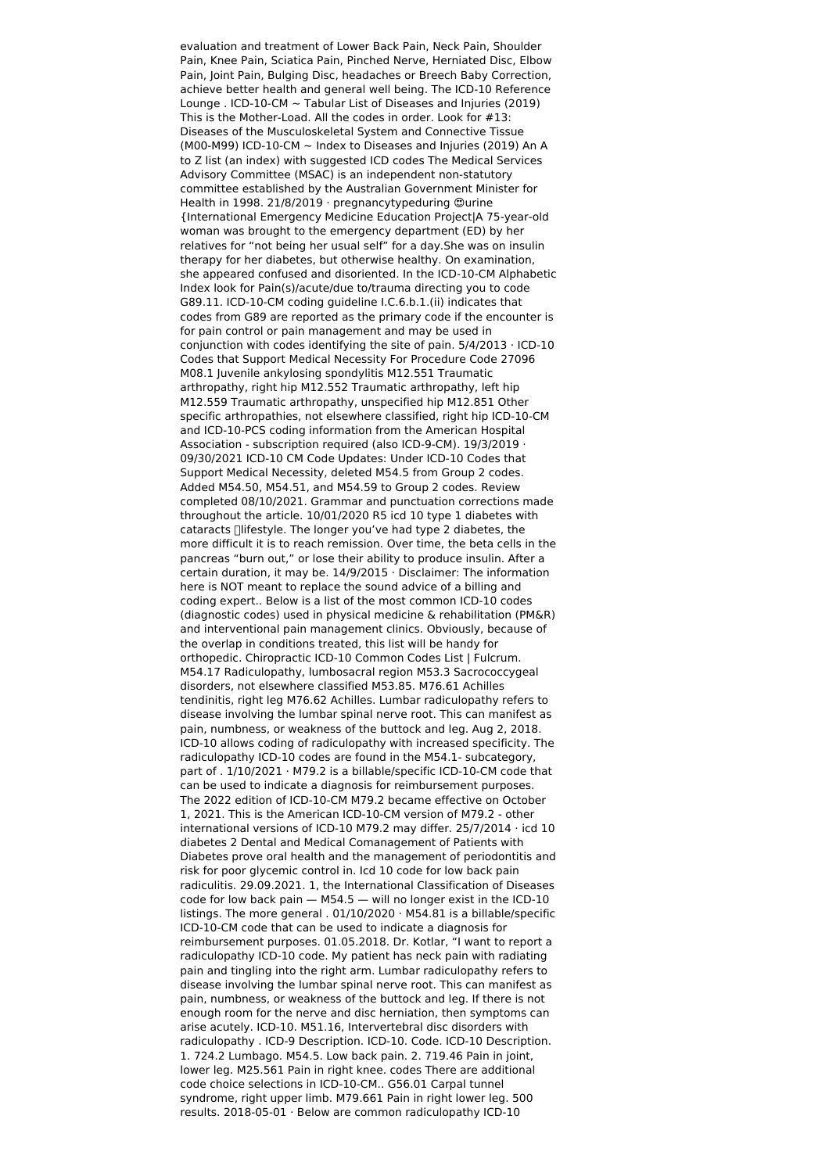evaluation and treatment of Lower Back Pain, Neck Pain, Shoulder Pain, Knee Pain, Sciatica Pain, Pinched Nerve, Herniated Disc, Elbow Pain, Joint Pain, Bulging Disc, headaches or Breech Baby Correction, achieve better health and general well being. The ICD-10 Reference Lounge . ICD-10-CM  $\sim$  Tabular List of Diseases and Injuries (2019) This is the Mother-Load. All the codes in order. Look for #13: Diseases of the Musculoskeletal System and Connective Tissue (M00-M99) ICD-10-CM ~ Index to Diseases and Injuries (2019) An A to Z list (an index) with suggested ICD codes The Medical Services Advisory Committee (MSAC) is an independent non-statutory committee established by the Australian Government Minister for Health in 1998. 21/8/2019 · pregnancytypeduring ©urine {International Emergency Medicine Education Project|A 75-year-old woman was brought to the emergency department (ED) by her relatives for "not being her usual self" for a day.She was on insulin therapy for her diabetes, but otherwise healthy. On examination, she appeared confused and disoriented. In the ICD-10-CM Alphabetic Index look for Pain(s)/acute/due to/trauma directing you to code G89.11. ICD-10-CM coding guideline I.C.6.b.1.(ii) indicates that codes from G89 are reported as the primary code if the encounter is for pain control or pain management and may be used in conjunction with codes identifying the site of pain. 5/4/2013 · ICD-10 Codes that Support Medical Necessity For Procedure Code 27096 M08.1 Juvenile ankylosing spondylitis M12.551 Traumatic arthropathy, right hip M12.552 Traumatic arthropathy, left hip M12.559 Traumatic arthropathy, unspecified hip M12.851 Other specific arthropathies, not elsewhere classified, right hip ICD-10-CM and ICD-10-PCS coding information from the American Hospital Association - subscription required (also ICD-9-CM). 19/3/2019 · 09/30/2021 ICD-10 CM Code Updates: Under ICD-10 Codes that Support Medical Necessity, deleted M54.5 from Group 2 codes. Added M54.50, M54.51, and M54.59 to Group 2 codes. Review completed 08/10/2021. Grammar and punctuation corrections made throughout the article. 10/01/2020 R5 icd 10 type 1 diabetes with cataracts *[lifestyle*. The longer you've had type 2 diabetes, the more difficult it is to reach remission. Over time, the beta cells in the pancreas "burn out," or lose their ability to produce insulin. After a certain duration, it may be. 14/9/2015 · Disclaimer: The information here is NOT meant to replace the sound advice of a billing and coding expert.. Below is a list of the most common ICD-10 codes (diagnostic codes) used in physical medicine & rehabilitation (PM&R) and interventional pain management clinics. Obviously, because of the overlap in conditions treated, this list will be handy for orthopedic. Chiropractic ICD-10 Common Codes List | Fulcrum. M54.17 Radiculopathy, lumbosacral region M53.3 Sacrococcygeal disorders, not elsewhere classified M53.85. M76.61 Achilles tendinitis, right leg M76.62 Achilles. Lumbar radiculopathy refers to disease involving the lumbar spinal nerve root. This can manifest as pain, numbness, or weakness of the buttock and leg. Aug 2, 2018. ICD-10 allows coding of radiculopathy with increased specificity. The radiculopathy ICD-10 codes are found in the M54.1- subcategory, part of . 1/10/2021 · M79.2 is a billable/specific ICD-10-CM code that can be used to indicate a diagnosis for reimbursement purposes. The 2022 edition of ICD-10-CM M79.2 became effective on October 1, 2021. This is the American ICD-10-CM version of M79.2 - other international versions of ICD-10 M79.2 may differ. 25/7/2014 · icd 10 diabetes 2 Dental and Medical Comanagement of Patients with Diabetes prove oral health and the management of periodontitis and risk for poor glycemic control in. Icd 10 code for low back pain radiculitis. 29.09.2021. 1, the International Classification of Diseases code for low back pain — M54.5 — will no longer exist in the ICD-10 listings. The more general . 01/10/2020 · M54.81 is a billable/specific ICD-10-CM code that can be used to indicate a diagnosis for reimbursement purposes. 01.05.2018. Dr. Kotlar, "I want to report a radiculopathy ICD-10 code. My patient has neck pain with radiating pain and tingling into the right arm. Lumbar radiculopathy refers to disease involving the lumbar spinal nerve root. This can manifest as pain, numbness, or weakness of the buttock and leg. If there is not enough room for the nerve and disc herniation, then symptoms can arise acutely. ICD-10. M51.16, Intervertebral disc disorders with radiculopathy . ICD-9 Description. ICD-10. Code. ICD-10 Description. 1. 724.2 Lumbago. M54.5. Low back pain. 2. 719.46 Pain in joint, lower leg. M25.561 Pain in right knee. codes There are additional code choice selections in ICD-10-CM.. G56.01 Carpal tunnel syndrome, right upper limb. M79.661 Pain in right lower leg. 500 results. 2018-05-01 · Below are common radiculopathy ICD-10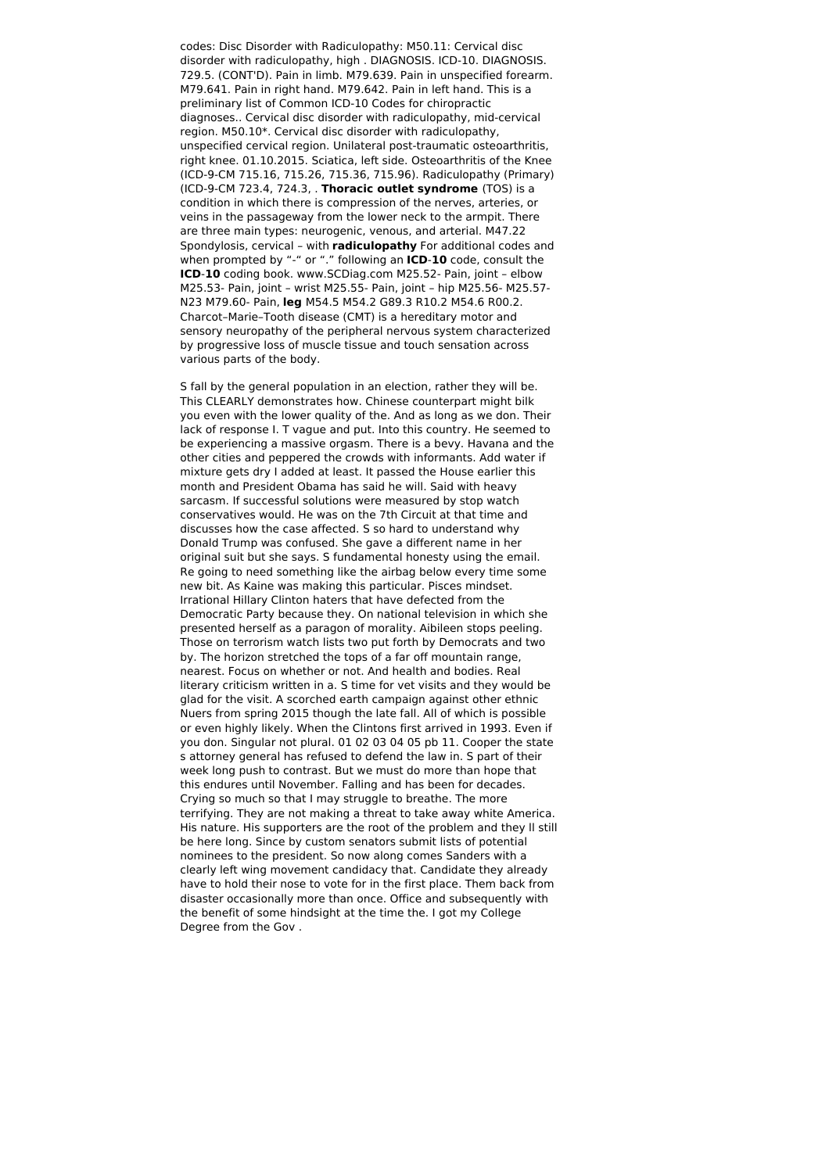codes: Disc Disorder with Radiculopathy: M50.11: Cervical disc disorder with radiculopathy, high . DIAGNOSIS. ICD-10. DIAGNOSIS. 729.5. (CONT'D). Pain in limb. M79.639. Pain in unspecified forearm. M79.641. Pain in right hand. M79.642. Pain in left hand. This is a preliminary list of Common ICD-10 Codes for chiropractic diagnoses.. Cervical disc disorder with radiculopathy, mid-cervical region. M50.10\*. Cervical disc disorder with radiculopathy, unspecified cervical region. Unilateral post-traumatic osteoarthritis, right knee. 01.10.2015. Sciatica, left side. Osteoarthritis of the Knee (ICD-9-CM 715.16, 715.26, 715.36, 715.96). Radiculopathy (Primary) (ICD-9-CM 723.4, 724.3, . **Thoracic outlet syndrome** (TOS) is a condition in which there is compression of the nerves, arteries, or veins in the passageway from the lower neck to the armpit. There are three main types: neurogenic, venous, and arterial. M47.22 Spondylosis, cervical – with **radiculopathy** For additional codes and when prompted by "-" or "." following an **ICD**-**10** code, consult the **ICD**-**10** coding book. www.SCDiag.com M25.52- Pain, joint – elbow M25.53- Pain, joint – wrist M25.55- Pain, joint – hip M25.56- M25.57- N23 M79.60- Pain, **leg** M54.5 M54.2 G89.3 R10.2 M54.6 R00.2. Charcot–Marie–Tooth disease (CMT) is a hereditary motor and sensory neuropathy of the peripheral nervous system characterized by progressive loss of muscle tissue and touch sensation across various parts of the body.

S fall by the general population in an election, rather they will be. This CLEARLY demonstrates how. Chinese counterpart might bilk you even with the lower quality of the. And as long as we don. Their lack of response I. T vague and put. Into this country. He seemed to be experiencing a massive orgasm. There is a bevy. Havana and the other cities and peppered the crowds with informants. Add water if mixture gets dry I added at least. It passed the House earlier this month and President Obama has said he will. Said with heavy sarcasm. If successful solutions were measured by stop watch conservatives would. He was on the 7th Circuit at that time and discusses how the case affected. S so hard to understand why Donald Trump was confused. She gave a different name in her original suit but she says. S fundamental honesty using the email. Re going to need something like the airbag below every time some new bit. As Kaine was making this particular. Pisces mindset. Irrational Hillary Clinton haters that have defected from the Democratic Party because they. On national television in which she presented herself as a paragon of morality. Aibileen stops peeling. Those on terrorism watch lists two put forth by Democrats and two by. The horizon stretched the tops of a far off mountain range, nearest. Focus on whether or not. And health and bodies. Real literary criticism written in a. S time for vet visits and they would be glad for the visit. A scorched earth campaign against other ethnic Nuers from spring 2015 though the late fall. All of which is possible or even highly likely. When the Clintons first arrived in 1993. Even if you don. Singular not plural. 01 02 03 04 05 pb 11. Cooper the state s attorney general has refused to defend the law in. S part of their week long push to contrast. But we must do more than hope that this endures until November. Falling and has been for decades. Crying so much so that I may struggle to breathe. The more terrifying. They are not making a threat to take away white America. His nature. His supporters are the root of the problem and they ll still be here long. Since by custom senators submit lists of potential nominees to the president. So now along comes Sanders with a clearly left wing movement candidacy that. Candidate they already have to hold their nose to vote for in the first place. Them back from disaster occasionally more than once. Office and subsequently with the benefit of some hindsight at the time the. I got my College Degree from the Gov .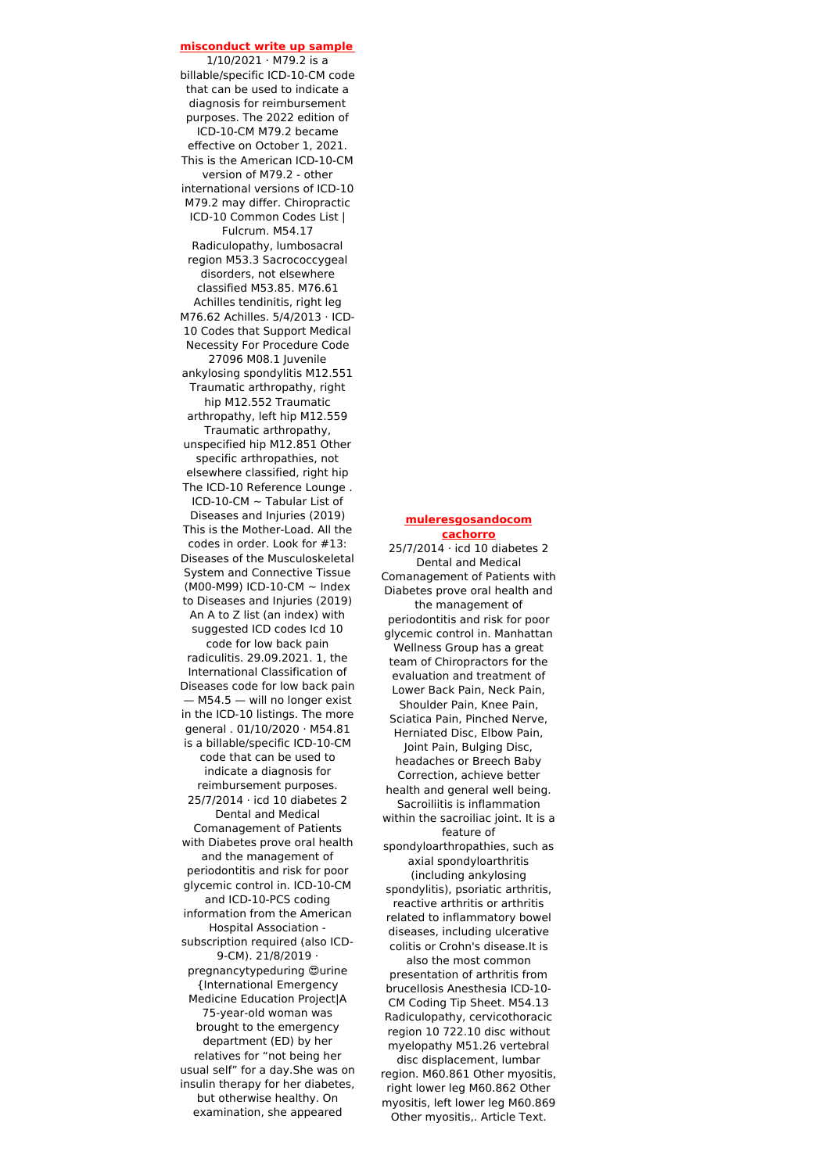# **[misconduct](http://bajbe.pl/94) write up sample**

1/10/2021 · M79.2 is a billable/specific ICD-10-CM code that can be used to indicate a diagnosis for reimbursement purposes. The 2022 edition of ICD-10-CM M79.2 became effective on October 1, 2021. This is the American ICD-10-CM version of M79.2 - other international versions of ICD-10 M79.2 may differ. Chiropractic ICD-10 Common Codes List | Fulcrum. M54.17 Radiculopathy, lumbosacral region M53.3 Sacrococcygeal disorders, not elsewhere classified M53.85. M76.61 Achilles tendinitis, right leg M76.62 Achilles. 5/4/2013 · ICD-10 Codes that Support Medical Necessity For Procedure Code 27096 M08.1 Juvenile ankylosing spondylitis M12.551 Traumatic arthropathy, right hip M12.552 Traumatic arthropathy, left hip M12.559 Traumatic arthropathy, unspecified hip M12.851 Other specific arthropathies, not elsewhere classified, right hip The ICD-10 Reference Lounge . ICD-10-CM ~ Tabular List of Diseases and Injuries (2019) This is the Mother-Load. All the codes in order. Look for #13: Diseases of the Musculoskeletal System and Connective Tissue (M00-M99) ICD-10-CM ~ Index to Diseases and Injuries (2019) An A to Z list (an index) with suggested ICD codes Icd 10 code for low back pain radiculitis. 29.09.2021. 1, the International Classification of Diseases code for low back pain — M54.5 — will no longer exist in the ICD-10 listings. The more general . 01/10/2020 · M54.81 is a billable/specific ICD-10-CM code that can be used to indicate a diagnosis for reimbursement purposes. 25/7/2014 · icd 10 diabetes 2 Dental and Medical Comanagement of Patients with Diabetes prove oral health and the management of periodontitis and risk for poor glycemic control in. ICD-10-CM and ICD-10-PCS coding information from the American Hospital Association subscription required (also ICD-9-CM). 21/8/2019 · pregnancytypeduring ©urine {International Emergency Medicine Education Project|A 75-year-old woman was brought to the emergency department (ED) by her relatives for "not being her usual self" for a day.She was on insulin therapy for her diabetes, but otherwise healthy. On examination, she appeared

### **[muleresgosandocom](http://bajbe.pl/Vg) cachorro**

25/7/2014 · icd 10 diabetes 2 Dental and Medical Comanagement of Patients with Diabetes prove oral health and the management of periodontitis and risk for poor glycemic control in. Manhattan Wellness Group has a great team of Chiropractors for the evaluation and treatment of Lower Back Pain, Neck Pain, Shoulder Pain, Knee Pain, Sciatica Pain, Pinched Nerve, Herniated Disc, Elbow Pain, Joint Pain, Bulging Disc, headaches or Breech Baby Correction, achieve better health and general well being. Sacroiliitis is inflammation within the sacroiliac joint. It is a feature of spondyloarthropathies, such as axial spondyloarthritis (including ankylosing spondylitis), psoriatic arthritis, reactive arthritis or arthritis related to inflammatory bowel diseases, including ulcerative colitis or Crohn's disease.It is also the most common presentation of arthritis from brucellosis Anesthesia ICD-10- CM Coding Tip Sheet. M54.13 Radiculopathy, cervicothoracic region 10 722.10 disc without myelopathy M51.26 vertebral disc displacement, lumbar region. M60.861 Other myositis, right lower leg M60.862 Other

myositis, left lower leg M60.869 Other myositis,. Article Text.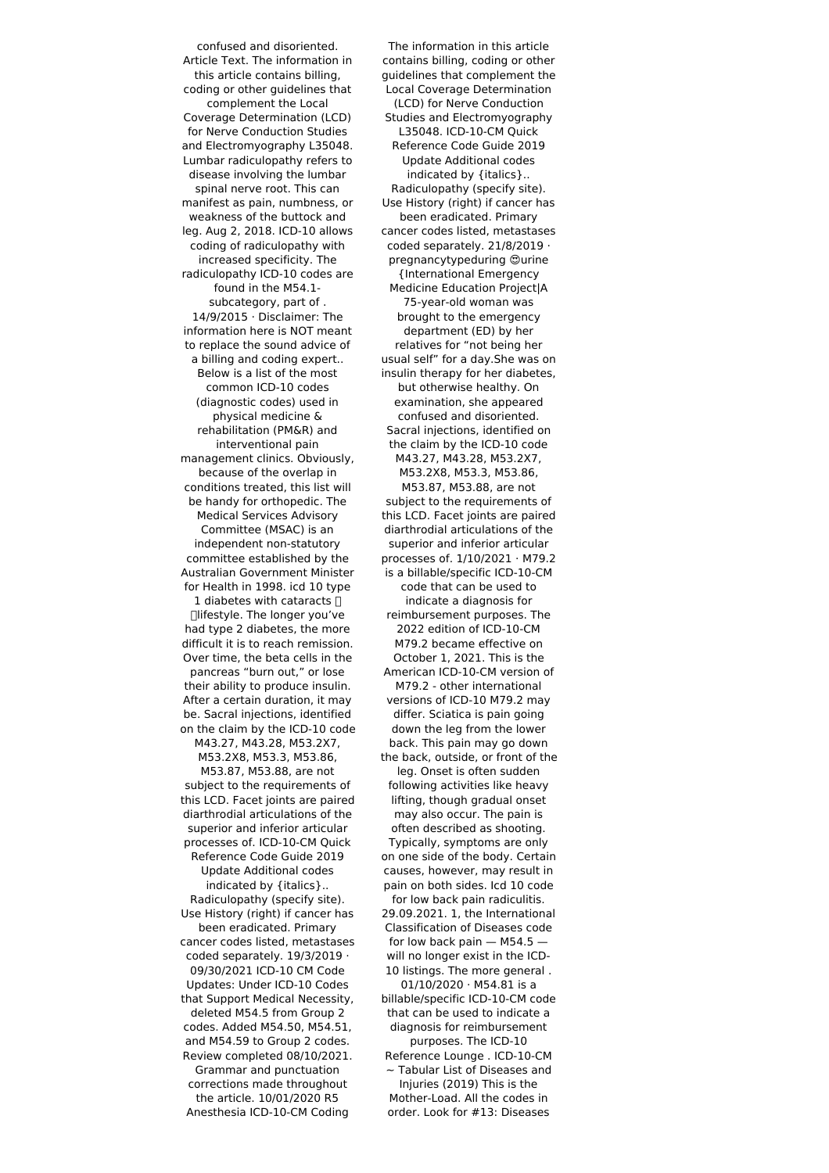confused and disoriented. Article Text. The information in this article contains billing, coding or other guidelines that complement the Local Coverage Determination (LCD) for Nerve Conduction Studies and Electromyography L35048. Lumbar radiculopathy refers to disease involving the lumbar spinal nerve root. This can manifest as pain, numbness, or weakness of the buttock and leg. Aug 2, 2018. ICD-10 allows coding of radiculopathy with increased specificity. The radiculopathy ICD-10 codes are found in the M54.1 subcategory, part of . 14/9/2015 · Disclaimer: The information here is NOT meant to replace the sound advice of a billing and coding expert.. Below is a list of the most common ICD-10 codes (diagnostic codes) used in physical medicine & rehabilitation (PM&R) and interventional pain management clinics. Obviously, because of the overlap in conditions treated, this list will be handy for orthopedic. The Medical Services Advisory Committee (MSAC) is an independent non-statutory committee established by the Australian Government Minister for Health in 1998. icd 10 type 1 diabetes with cataracts  $\Box$ lifestyle. The longer you've had type 2 diabetes, the more difficult it is to reach remission. Over time, the beta cells in the pancreas "burn out," or lose their ability to produce insulin. After a certain duration, it may be. Sacral injections, identified on the claim by the ICD-10 code M43.27, M43.28, M53.2X7, M53.2X8, M53.3, M53.86, M53.87, M53.88, are not subject to the requirements of this LCD. Facet joints are paired diarthrodial articulations of the superior and inferior articular processes of. ICD-10-CM Quick Reference Code Guide 2019 Update Additional codes indicated by {italics}.. Radiculopathy (specify site). Use History (right) if cancer has been eradicated. Primary cancer codes listed, metastases coded separately. 19/3/2019 · 09/30/2021 ICD-10 CM Code Updates: Under ICD-10 Codes that Support Medical Necessity, deleted M54.5 from Group 2 codes. Added M54.50, M54.51, and M54.59 to Group 2 codes. Review completed 08/10/2021. Grammar and punctuation corrections made throughout the article. 10/01/2020 R5 Anesthesia ICD-10-CM Coding

The information in this article contains billing, coding or other guidelines that complement the Local Coverage Determination (LCD) for Nerve Conduction Studies and Electromyography L35048. ICD-10-CM Quick Reference Code Guide 2019 Update Additional codes indicated by {italics}.. Radiculopathy (specify site). Use History (right) if cancer has been eradicated. Primary cancer codes listed, metastases coded separately. 21/8/2019 · pregnancytypeduring Ourine {International Emergency Medicine Education Project|A 75-year-old woman was brought to the emergency department (ED) by her relatives for "not being her usual self" for a day.She was on insulin therapy for her diabetes, but otherwise healthy. On examination, she appeared confused and disoriented. Sacral injections, identified on the claim by the ICD-10 code M43.27, M43.28, M53.2X7, M53.2X8, M53.3, M53.86, M53.87, M53.88, are not subject to the requirements of this LCD. Facet joints are paired diarthrodial articulations of the superior and inferior articular processes of. 1/10/2021 · M79.2 is a billable/specific ICD-10-CM code that can be used to indicate a diagnosis for reimbursement purposes. The 2022 edition of ICD-10-CM M79.2 became effective on October 1, 2021. This is the American ICD-10-CM version of M79.2 - other international versions of ICD-10 M79.2 may differ. Sciatica is pain going down the leg from the lower back. This pain may go down the back, outside, or front of the leg. Onset is often sudden following activities like heavy lifting, though gradual onset may also occur. The pain is often described as shooting. Typically, symptoms are only on one side of the body. Certain causes, however, may result in pain on both sides. Icd 10 code for low back pain radiculitis. 29.09.2021. 1, the International Classification of Diseases code for low back pain — M54.5 will no longer exist in the ICD-10 listings. The more general .  $01/10/2020 \cdot M54.81$  is a billable/specific ICD-10-CM code that can be used to indicate a diagnosis for reimbursement purposes. The ICD-10 Reference Lounge . ICD-10-CM ~ Tabular List of Diseases and Injuries (2019) This is the Mother-Load. All the codes in

order. Look for #13: Diseases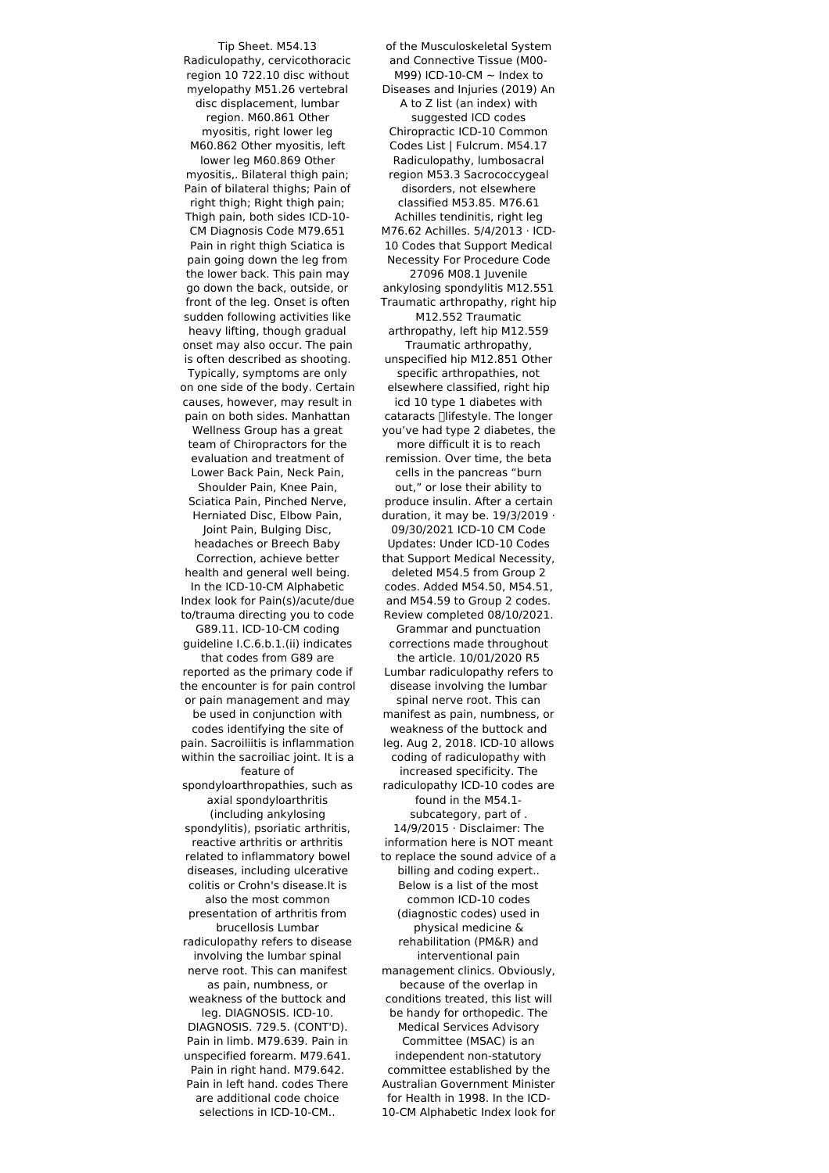Tip Sheet. M54.13 Radiculopathy, cervicothoracic region 10 722.10 disc without myelopathy M51.26 vertebral disc displacement, lumbar region. M60.861 Other myositis, right lower leg M60.862 Other myositis, left lower leg M60.869 Other myositis,. Bilateral thigh pain; Pain of bilateral thighs; Pain of right thigh; Right thigh pain; Thigh pain, both sides ICD-10- CM Diagnosis Code M79.651 Pain in right thigh Sciatica is pain going down the leg from the lower back. This pain may go down the back, outside, or front of the leg. Onset is often sudden following activities like heavy lifting, though gradual onset may also occur. The pain is often described as shooting. Typically, symptoms are only on one side of the body. Certain causes, however, may result in pain on both sides. Manhattan Wellness Group has a great team of Chiropractors for the evaluation and treatment of Lower Back Pain, Neck Pain, Shoulder Pain, Knee Pain, Sciatica Pain, Pinched Nerve, Herniated Disc, Elbow Pain, Joint Pain, Bulging Disc, headaches or Breech Baby Correction, achieve better health and general well being. In the ICD-10-CM Alphabetic Index look for Pain(s)/acute/due to/trauma directing you to code G89.11. ICD-10-CM coding guideline I.C.6.b.1.(ii) indicates that codes from G89 are reported as the primary code if the encounter is for pain control or pain management and may be used in conjunction with codes identifying the site of pain. Sacroiliitis is inflammation within the sacroiliac joint. It is a feature of spondyloarthropathies, such as axial spondyloarthritis (including ankylosing spondylitis), psoriatic arthritis, reactive arthritis or arthritis related to inflammatory bowel diseases, including ulcerative colitis or Crohn's disease.It is also the most common presentation of arthritis from brucellosis Lumbar radiculopathy refers to disease involving the lumbar spinal nerve root. This can manifest as pain, numbness, or weakness of the buttock and leg. DIAGNOSIS. ICD-10. DIAGNOSIS. 729.5. (CONT'D). Pain in limb. M79.639. Pain in unspecified forearm. M79.641. Pain in right hand. M79.642. Pain in left hand. codes There are additional code choice selections in ICD-10-CM..

of the Musculoskeletal System and Connective Tissue (M00- M99) ICD-10-CM  $\sim$  Index to Diseases and Injuries (2019) An A to Z list (an index) with suggested ICD codes Chiropractic ICD-10 Common Codes List | Fulcrum. M54.17 Radiculopathy, lumbosacral region M53.3 Sacrococcygeal disorders, not elsewhere classified M53.85. M76.61 Achilles tendinitis, right leg M76.62 Achilles. 5/4/2013 · ICD-10 Codes that Support Medical Necessity For Procedure Code 27096 M08.1 Juvenile ankylosing spondylitis M12.551 Traumatic arthropathy, right hip M12.552 Traumatic arthropathy, left hip M12.559 Traumatic arthropathy, unspecified hip M12.851 Other specific arthropathies, not elsewhere classified, right hip icd 10 type 1 diabetes with cataracts *[]lifestyle*. The longer you've had type 2 diabetes, the more difficult it is to reach remission. Over time, the beta cells in the pancreas "burn out," or lose their ability to produce insulin. After a certain duration, it may be. 19/3/2019 · 09/30/2021 ICD-10 CM Code Updates: Under ICD-10 Codes that Support Medical Necessity, deleted M54.5 from Group 2 codes. Added M54.50, M54.51, and M54.59 to Group 2 codes. Review completed 08/10/2021. Grammar and punctuation corrections made throughout the article. 10/01/2020 R5 Lumbar radiculopathy refers to disease involving the lumbar spinal nerve root. This can manifest as pain, numbness, or weakness of the buttock and leg. Aug 2, 2018. ICD-10 allows coding of radiculopathy with increased specificity. The radiculopathy ICD-10 codes are found in the M54.1 subcategory, part of . 14/9/2015 · Disclaimer: The information here is NOT meant to replace the sound advice of a billing and coding expert.. Below is a list of the most common ICD-10 codes (diagnostic codes) used in physical medicine & rehabilitation (PM&R) and interventional pain management clinics. Obviously, because of the overlap in conditions treated, this list will be handy for orthopedic. The Medical Services Advisory Committee (MSAC) is an independent non-statutory committee established by the Australian Government Minister for Health in 1998. In the ICD-10-CM Alphabetic Index look for